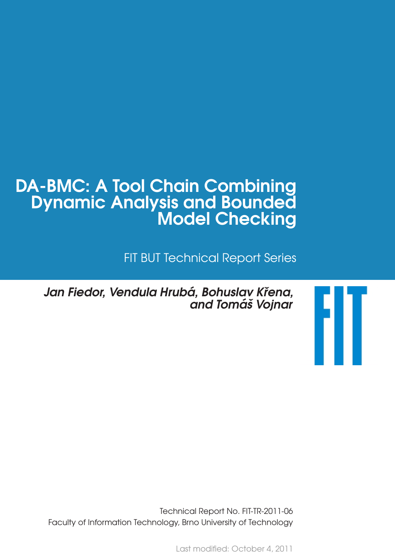# DA-BMC: A Tool Chain Combining Dynamic Analysis and Bounded Model Checking

FIT BUT Technical Report Series

H

Jan Fiedor, Vendula Hrubá, Bohuslav Křena, and Tomáš Vojnar

Technical Report No. FIT-TR-2011-06 Faculty of Information Technology, Brno University of Technology

Last modified: October 4, 2011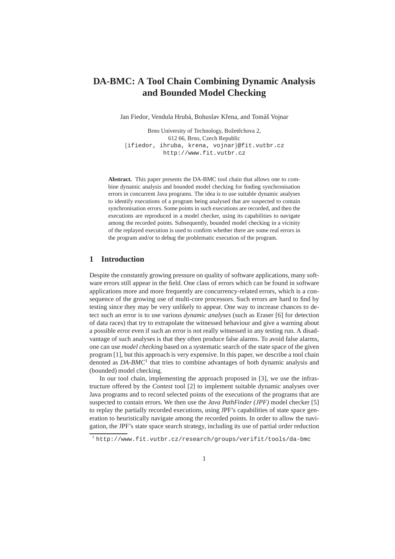# **DA-BMC: A Tool Chain Combining Dynamic Analysis and Bounded Model Checking**

Jan Fiedor, Vendula Hrubá, Bohuslav Křena, and Tomáš Vojnar

Brno University of Technology, Božetěchova 2, 612 66, Brno, Czech Republic {ifiedor, ihruba, krena, vojnar}@fit.vutbr.cz http://www.fit.vutbr.cz

**Abstract.** This paper presents the DA-BMC tool chain that allows one to combine dynamic analysis and bounded model checking for finding synchronisation errors in concurrent Java programs. The idea is to use suitable dynamic analyses to identify executions of a program being analysed that are suspected to contain synchronisation errors. Some points in such executions are recorded, and then the executions are reproduced in a model checker, using its capabilities to navigate among the recorded points. Subsequently, bounded model checking in a vicinity of the replayed execution is used to confirm whether there are some real errors in the program and/or to debug the problematic execution of the program.

# **1 Introduction**

Despite the constantly growing pressure on quality of software applications, many software errors still appear in the field. One class of errors which can be found in software applications more and more frequently are concurrency-related errors, which is a consequence of the growing use of multi-core processors. Such errors are hard to find by testing since they may be very unlikely to appear. One way to increase chances to detect such an error is to use various *dynamic analyses* (such as Eraser [6] for detection of data races) that try to extrapolate the witnessed behaviour and give a warning about a possible error even if such an error is not really witnessed in any testing run. A disadvantage of such analyses is that they often produce false alarms. To avoid false alarms, one can use *model checking* based on a systematic search of the state space of the given program [1], but this approach is very expensive. In this paper, we describe a tool chain denoted as *DA-BMC*<sup>1</sup> that tries to combine advantages of both dynamic analysis and (bounded) model checking.

In our tool chain, implementing the approach proposed in [3], we use the infrastructure offered by the *Contest* tool [2] to implement suitable dynamic analyses over Java programs and to record selected points of the executions of the programs that are suspected to contain errors. We then use the *Java PathFinder (JPF)* model checker [5] to replay the partially recorded executions, using JPF's capabilities of state space generation to heuristically navigate among the recorded points. In order to allow the navigation, the JPF's state space search strategy, including its use of partial order reduction

<sup>1</sup> http://www.fit.vutbr.cz/research/groups/verifit/tools/da-bmc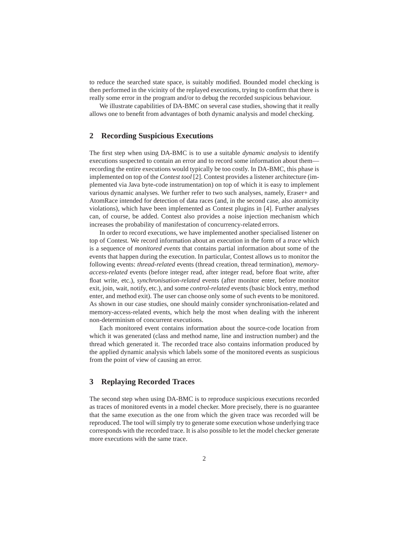to reduce the searched state space, is suitably modified. Bounded model checking is then performed in the vicinity of the replayed executions, trying to confirm that there is really some error in the program and/or to debug the recorded suspicious behaviour.

We illustrate capabilities of DA-BMC on several case studies, showing that it really allows one to benefit from advantages of both dynamic analysis and model checking.

#### **2 Recording Suspicious Executions**

The first step when using DA-BMC is to use a suitable *dynamic analysis* to identify executions suspected to contain an error and to record some information about them recording the entire executions would typically be too costly. In DA-BMC, this phase is implemented on top of the *Contest tool* [2]. Contest provides a listener architecture (implemented via Java byte-code instrumentation) on top of which it is easy to implement various dynamic analyses. We further refer to two such analyses, namely, Eraser+ and AtomRace intended for detection of data races (and, in the second case, also atomicity violations), which have been implemented as Contest plugins in [4]. Further analyses can, of course, be added. Contest also provides a noise injection mechanism which increases the probability of manifestation of concurrency-related errors.

In order to record executions, we have implemented another specialised listener on top of Contest. We record information about an execution in the form of a *trace* which is a sequence of *monitored events* that contains partial information about some of the events that happen during the execution. In particular, Contest allows us to monitor the following events: *thread-related* events (thread creation, thread termination), *memoryaccess-related* events (before integer read, after integer read, before float write, after float write, etc.), *synchronisation-related* events (after monitor enter, before monitor exit, join, wait, notify, etc.), and some *control-related* events (basic block entry, method enter, and method exit). The user can choose only some of such events to be monitored. As shown in our case studies, one should mainly consider synchronisation-related and memory-access-related events, which help the most when dealing with the inherent non-determinism of concurrent executions.

Each monitored event contains information about the source-code location from which it was generated (class and method name, line and instruction number) and the thread which generated it. The recorded trace also contains information produced by the applied dynamic analysis which labels some of the monitored events as suspicious from the point of view of causing an error.

# **3 Replaying Recorded Traces**

The second step when using DA-BMC is to reproduce suspicious executions recorded as traces of monitored events in a model checker. More precisely, there is no guarantee that the same execution as the one from which the given trace was recorded will be reproduced. The tool will simply try to generate some execution whose underlying trace corresponds with the recorded trace. It is also possible to let the model checker generate more executions with the same trace.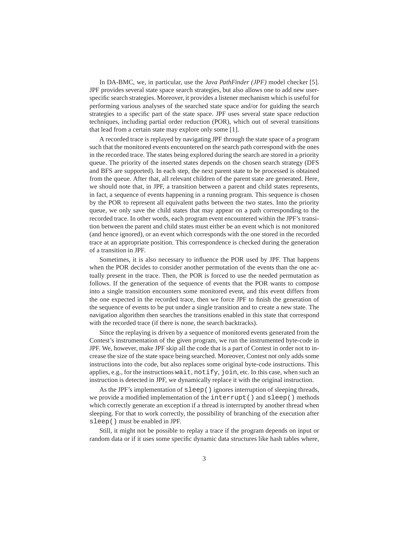In DA-BMC, we, in particular, use the *Java PathFinder (JPF)* model checker [5]. JPF provides several state space search strategies, but also allows one to add new userspecific search strategies. Moreover, it provides a listener mechanism which is useful for performing various analyses of the searched state space and/or for guiding the search strategies to a specific part of the state space. JPF uses several state space reduction techniques, including partial order reduction (POR), which out of several transitions that lead from a certain state may explore only some [1].

A recorded trace is replayed by navigating JPF through the state space of a program such that the monitored events encountered on the search path correspond with the ones in the recorded trace. The states being explored during the search are stored in a priority queue. The priority of the inserted states depends on the chosen search strategy (DFS and BFS are supported). In each step, the next parent state to be processed is obtained from the queue. After that, all relevant children of the parent state are generated. Here, we should note that, in JPF, a transition between a parent and child states represents, in fact, a sequence of events happening in a running program. This sequence is chosen by the POR to represent all equivalent paths between the two states. Into the priority queue, we only save the child states that may appear on a path corresponding to the recorded trace. In other words, each program event encountered within the JPF's transition between the parent and child states must either be an event which is not monitored (and hence ignored), or an event which corresponds with the one stored in the recorded trace at an appropriate position. This correspondence is checked during the generation of a transition in JPF.

Sometimes, it is also necessary to influence the POR used by JPF. That happens when the POR decides to consider another permutation of the events than the one actually present in the trace. Then, the POR is forced to use the needed permutation as follows. If the generation of the sequence of events that the POR wants to compose into a single transition encounters some monitored event, and this event differs from the one expected in the recorded trace, then we force JPF to finish the generation of the sequence of events to be put under a single transition and to create a new state. The navigation algorithm then searches the transitions enabled in this state that correspond with the recorded trace (if there is none, the search backtracks).

Since the replaying is driven by a sequence of monitored events generated from the Contest's instrumentation of the given program, we run the instrumented byte-code in JPF. We, however, make JPF skip all the code that is a part of Contest in order not to increase the size of the state space being searched. Moreover, Contest not only adds some instructions into the code, but also replaces some original byte-code instructions. This applies, e.g., for the instructions wait, notify, join, etc. In this case, when such an instruction is detected in JPF, we dynamically replace it with the original instruction.

As the JPF's implementation of sleep() ignores interruption of sleeping threads, we provide a modified implementation of the interrupt() and sleep() methods which correctly generate an exception if a thread is interrupted by another thread when sleeping. For that to work correctly, the possibility of branching of the execution after sleep() must be enabled in JPF.

Still, it might not be possible to replay a trace if the program depends on input or random data or if it uses some specific dynamic data structures like hash tables where,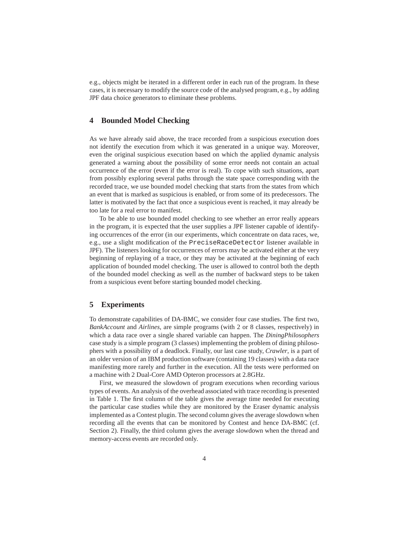e.g., objects might be iterated in a different order in each run of the program. In these cases, it is necessary to modify the source code of the analysed program, e.g., by adding JPF data choice generators to eliminate these problems.

# **4 Bounded Model Checking**

As we have already said above, the trace recorded from a suspicious execution does not identify the execution from which it was generated in a unique way. Moreover, even the original suspicious execution based on which the applied dynamic analysis generated a warning about the possibility of some error needs not contain an actual occurrence of the error (even if the error is real). To cope with such situations, apart from possibly exploring several paths through the state space corresponding with the recorded trace, we use bounded model checking that starts from the states from which an event that is marked as suspicious is enabled, or from some of its predecessors. The latter is motivated by the fact that once a suspicious event is reached, it may already be too late for a real error to manifest.

To be able to use bounded model checking to see whether an error really appears in the program, it is expected that the user supplies a JPF listener capable of identifying occurrences of the error (in our experiments, which concentrate on data races, we, e.g., use a slight modification of the PreciseRaceDetector listener available in JPF). The listeners looking for occurrences of errors may be activated either at the very beginning of replaying of a trace, or they may be activated at the beginning of each application of bounded model checking. The user is allowed to control both the depth of the bounded model checking as well as the number of backward steps to be taken from a suspicious event before starting bounded model checking.

#### **5 Experiments**

To demonstrate capabilities of DA-BMC, we consider four case studies. The first two, *BankAccount* and *Airlines*, are simple programs (with 2 or 8 classes, respectively) in which a data race over a single shared variable can happen. The *DiningPhilosophers* case study is a simple program (3 classes) implementing the problem of dining philosophers with a possibility of a deadlock. Finally, our last case study, *Crawler*, is a part of an older version of an IBM production software (containing 19 classes) with a data race manifesting more rarely and further in the execution. All the tests were performed on a machine with 2 Dual-Core AMD Opteron processors at 2.8GHz.

First, we measured the slowdown of program executions when recording various types of events. An analysis of the overhead associated with trace recording is presented in Table 1. The first column of the table gives the average time needed for executing the particular case studies while they are monitored by the Eraser dynamic analysis implemented as a Contest plugin. The second column gives the average slowdown when recording all the events that can be monitored by Contest and hence DA-BMC (cf. Section 2). Finally, the third column gives the average slowdown when the thread and memory-access events are recorded only.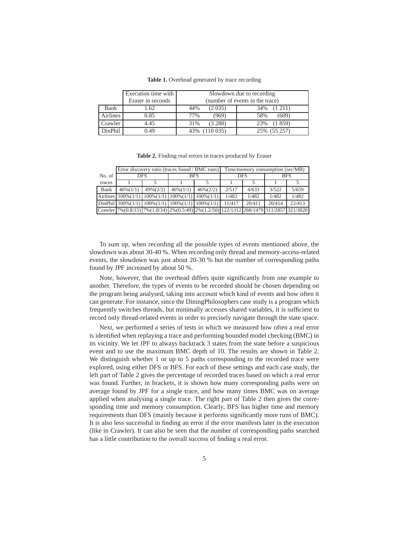|          | Execution time with | Slowdown due to recording       |              |  |  |  |  |  |
|----------|---------------------|---------------------------------|--------------|--|--|--|--|--|
|          | Eraser in seconds   | (number of events in the trace) |              |  |  |  |  |  |
| Bank     | 1.62                | (2035)<br>44%                   | 34% (1 211)  |  |  |  |  |  |
| Airlines | 0.85                | 77%<br>(969)                    | 58%<br>(609) |  |  |  |  |  |
| Crawler  | 4.45                | 31%<br>(3 288)                  | 23% (1859)   |  |  |  |  |  |
| DinPhil  | 0.49                | 43% (110 035)                   | 25% (55 257) |  |  |  |  |  |

**Table 2.** Finding real errors in traces produced by Eraser

|        |             | Error discovery ratio (traces found / BMC runs)                                                             |                      | Time/memory consumption (sec/MB) |            |        |            |        |
|--------|-------------|-------------------------------------------------------------------------------------------------------------|----------------------|----------------------------------|------------|--------|------------|--------|
| No. of | <b>DFS</b>  |                                                                                                             | <b>BFS</b>           |                                  | <b>DFS</b> |        | <b>BFS</b> |        |
| traces |             |                                                                                                             |                      |                                  |            |        |            |        |
| Bank   | $46\%(1/1)$ | $49\frac{6(2/2)}{2}$                                                                                        | $46\frac{6(1/1)}{2}$ | $46\frac{6(2/2)}{2}$             | 2/517      | 4/633  | 3/522      | 5/659  |
|        |             | Airlines $100\%(1/1)$ $100\%(1/1)$ $100\%(1/1)$ $100\%(1/1)$                                                |                      |                                  | 1/482      | 1/482  | 1/482      | 1/482  |
|        |             | DinPhil $100\%(1/1)$ $100\%(1/1)$ $100\%(1/1)$ $100\%(1/1)$                                                 |                      |                                  | 11/417     | 20/411 | 20/414     | 22/413 |
|        |             | Crawler $[7\% (0.8/15) [7\% (1.8/34) [2\% (0.5/49) [2\% (1.2/50) [122/1312] [268/1479] 311/2857] 321/3020]$ |                      |                                  |            |        |            |        |

To sum up, when recording all the possible types of events mentioned above, the slowdown was about 30-40 %. When recording only thread and memory-access-related events, the slowdown was just about 20-30 % but the number of corresponding paths found by JPF increased by about 50 %.

Note, however, that the overhead differs quite significantly from one example to another. Therefore, the types of events to be recorded should be chosen depending on the program being analysed, taking into account which kind of events and how often it can generate. For instance, since the DiningPhilosophers case study is a program which frequently switches threads, but minimally accesses shared variables, it is sufficient to record only thread-related events in order to precisely navigate through the state space.

Next, we performed a series of tests in which we measured how often a real error is identified when replaying a trace and performing bounded model checking (BMC) in its vicinity. We let JPF to always backtrack 3 states from the state before a suspicious event and to use the maximum BMC depth of 10. The results are shown in Table 2. We distinguish whether 1 or up to 5 paths corresponding to the recorded trace were explored, using either DFS or BFS. For each of these settings and each case study, the left part of Table 2 gives the percentage of recorded traces based on which a real error was found. Further, in brackets, it is shown how many corresponding paths were on average found by JPF for a single trace, and how many times BMC was on average applied when analysing a single trace. The right part of Table 2 then gives the corresponding time and memory consumption. Clearly, BFS has higher time and memory requirements than DFS (mainly because it performs significantly more runs of BMC). It is also less successful in finding an error if the error manifests later in the execution (like in Crawler). It can also be seen that the number of corresponding paths searched has a little contribution to the overall success of finding a real error.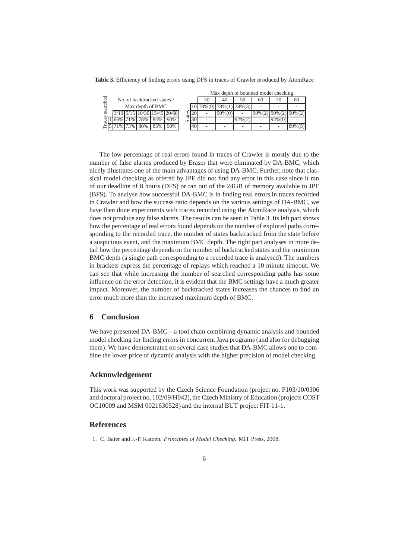**Table 3.** Efficiency of finding errors using DFS in traces of Crawler produced by AtomRace

|     |                             |  |     |     |                             |  |                  | Max depth of bounded model checking |               |           |    |                               |    |
|-----|-----------------------------|--|-----|-----|-----------------------------|--|------------------|-------------------------------------|---------------|-----------|----|-------------------------------|----|
|     | No. of backtracked states / |  |     |     |                             |  |                  | 30                                  | 40            | 50        | 60 | 70                            | 80 |
|     | Max depth of BMC            |  |     |     |                             |  |                  | $10\,78\%(0)$                       | 78%(1) 78%(3) |           |    |                               |    |
| sea |                             |  |     |     | 3/10 5/15 10/30 15/45 20/60 |  |                  |                                     | $90\%(0)$     |           |    | $90\%(2)$ $90\%(2)$ $90\%(2)$ |    |
|     | 66% 71%                     |  | 78% | 84% | 90%                         |  | $\frac{3}{2}$ 30 |                                     |               | $92\%(2)$ |    | $94\%(0)$                     |    |
|     | 10 <sub>6</sub>             |  | 80% | 85% | 90%                         |  | 40               |                                     |               |           |    |                               |    |

The low percentage of real errors found in traces of Crawler is mostly due to the number of false alarms produced by Eraser that were eliminated by DA-BMC, which nicely illustrates one of the main advantages of using DA-BMC. Further, note that classical model checking as offered by JPF did not find any error in this case since it ran of our deadline of 8 hours (DFS) or ran out of the 24GB of memory available to JPF (BFS). To analyse how successful DA-BMC is in finding real errors in traces recorded in Crawler and how the success ratio depends on the various settings of DA-BMC, we have then done experiments with traces recorded using the AtomRace analysis, which does not produce any false alarms. The results can be seen in Table 3. Its left part shows how the percentage of real errors found depends on the number of explored paths corresponding to the recorded trace, the number of states backtracked from the state before a suspicious event, and the maximum BMC depth. The right part analyses in more detail how the percentage depends on the number of backtracked states and the maximum BMC depth (a single path corresponding to a recorded trace is analysed). The numbers in brackets express the percentage of replays which reached a 10 minute timeout. We can see that while increasing the number of searched corresponding paths has some influence on the error detection, it is evident that the BMC settings have a much greater impact. Moreover, the number of backtracked states increases the chances to find an error much more than the increased maximum depth of BMC.

# **6 Conclusion**

We have presented DA-BMC—a tool chain combining dynamic analysis and bounded model checking for finding errors in concurrent Java programs (and also for debugging them). We have demonstrated on several case studies that DA-BMC allows one to combine the lower price of dynamic analysis with the higher precision of model checking.

#### **Acknowledgement**

This work was supported by the Czech Science Foundation (project no. P103/10/0306 and doctoral project no. 102/09/H042), the Czech Ministry of Education (projects COST OC10009 and MSM 0021630528) and the internal BUT project FIT-11-1.

#### **References**

1. C. Baier and J.-P. Katoen. *Principles of Model Checking*. MIT Press, 2008.